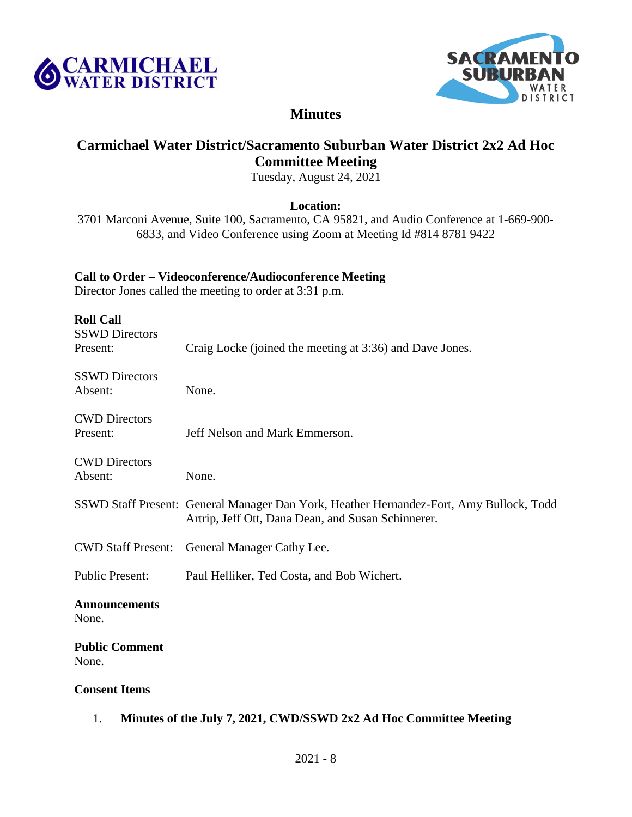



# **Minutes**

# **Carmichael Water District/Sacramento Suburban Water District 2x2 Ad Hoc Committee Meeting**

Tuesday, August 24, 2021

## **Location:**

3701 Marconi Avenue, Suite 100, Sacramento, CA 95821, and Audio Conference at 1-669-900- 6833, and Video Conference using Zoom at Meeting Id #814 8781 9422

## **Call to Order – Videoconference/Audioconference Meeting**

Director Jones called the meeting to order at 3:31 p.m.

| <b>Roll Call</b><br><b>SSWD Directors</b> |                                                                                                                                               |
|-------------------------------------------|-----------------------------------------------------------------------------------------------------------------------------------------------|
| Present:                                  | Craig Locke (joined the meeting at 3:36) and Dave Jones.                                                                                      |
| <b>SSWD Directors</b><br>Absent:          | None.                                                                                                                                         |
| <b>CWD</b> Directors<br>Present:          | Jeff Nelson and Mark Emmerson.                                                                                                                |
| <b>CWD</b> Directors<br>Absent:           | None.                                                                                                                                         |
|                                           | SSWD Staff Present: General Manager Dan York, Heather Hernandez-Fort, Amy Bullock, Todd<br>Artrip, Jeff Ott, Dana Dean, and Susan Schinnerer. |
| <b>CWD Staff Present:</b>                 | General Manager Cathy Lee.                                                                                                                    |
| <b>Public Present:</b>                    | Paul Helliker, Ted Costa, and Bob Wichert.                                                                                                    |
| <b>Announcements</b><br>None.             |                                                                                                                                               |
| <b>Public Comment</b><br>None.            |                                                                                                                                               |
| <b>Consent Items</b>                      |                                                                                                                                               |

1. **Minutes of the July 7, 2021, CWD/SSWD 2x2 Ad Hoc Committee Meeting**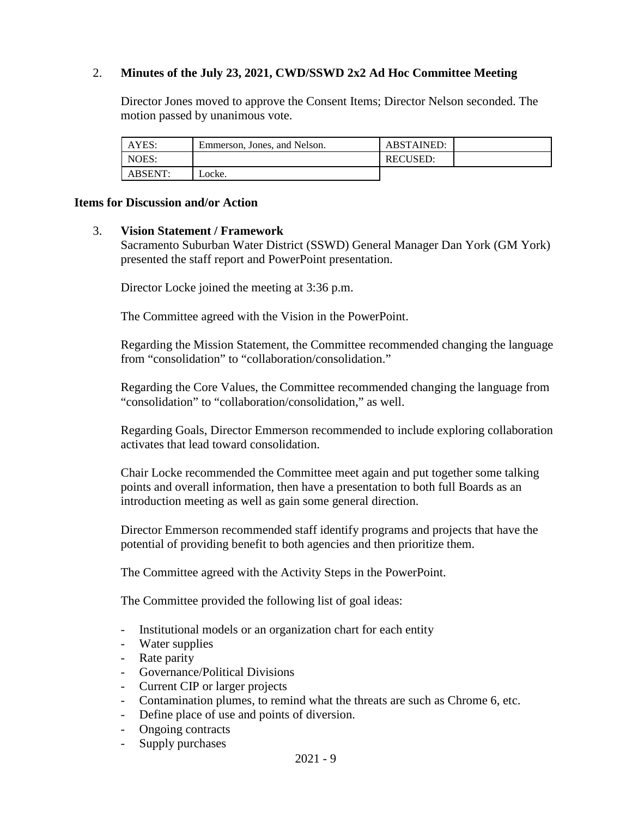# 2. **Minutes of the July 23, 2021, CWD/SSWD 2x2 Ad Hoc Committee Meeting**

Director Jones moved to approve the Consent Items; Director Nelson seconded. The motion passed by unanimous vote.

| AYES:   | Emmerson, Jones, and Nelson. | <b>ABSTAINED:</b> |  |
|---------|------------------------------|-------------------|--|
| NOES:   |                              | <b>RECUSED:</b>   |  |
| ABSENT: | Locke.                       |                   |  |

#### **Items for Discussion and/or Action**

#### 3. **Vision Statement / Framework**

Sacramento Suburban Water District (SSWD) General Manager Dan York (GM York) presented the staff report and PowerPoint presentation.

Director Locke joined the meeting at 3:36 p.m.

The Committee agreed with the Vision in the PowerPoint.

Regarding the Mission Statement, the Committee recommended changing the language from "consolidation" to "collaboration/consolidation."

Regarding the Core Values, the Committee recommended changing the language from "consolidation" to "collaboration/consolidation," as well.

Regarding Goals, Director Emmerson recommended to include exploring collaboration activates that lead toward consolidation.

Chair Locke recommended the Committee meet again and put together some talking points and overall information, then have a presentation to both full Boards as an introduction meeting as well as gain some general direction.

Director Emmerson recommended staff identify programs and projects that have the potential of providing benefit to both agencies and then prioritize them.

The Committee agreed with the Activity Steps in the PowerPoint.

The Committee provided the following list of goal ideas:

- Institutional models or an organization chart for each entity
- Water supplies
- Rate parity
- Governance/Political Divisions
- Current CIP or larger projects
- Contamination plumes, to remind what the threats are such as Chrome 6, etc.
- Define place of use and points of diversion.
- Ongoing contracts
- Supply purchases